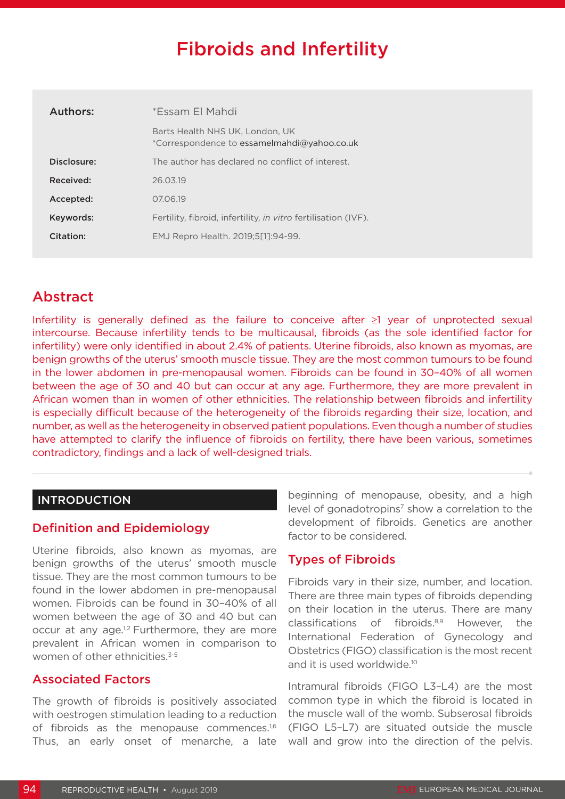# Fibroids and Infertility

| Authors:    | *Essam El Mahdi                                                                |
|-------------|--------------------------------------------------------------------------------|
|             | Barts Health NHS UK, London, UK<br>*Correspondence to essamelmahdi@yahoo.co.uk |
| Disclosure: | The author has declared no conflict of interest.                               |
| Received:   | 26.03.19                                                                       |
| Accepted:   | 07.06.19                                                                       |
| Keywords:   | Fertility, fibroid, infertility, <i>in vitro</i> fertilisation (IVF).          |
| Citation:   | EMJ Repro Health. 2019;5[1]:94-99.                                             |

# Abstract

Infertility is generally defined as the failure to conceive after ≥1 year of unprotected sexual intercourse. Because infertility tends to be multicausal, fibroids (as the sole identified factor for infertility) were only identified in about 2.4% of patients. Uterine fibroids, also known as myomas, are benign growths of the uterus' smooth muscle tissue. They are the most common tumours to be found in the lower abdomen in pre-menopausal women. Fibroids can be found in 30–40% of all women between the age of 30 and 40 but can occur at any age. Furthermore, they are more prevalent in African women than in women of other ethnicities. The relationship between fibroids and infertility is especially difficult because of the heterogeneity of the fibroids regarding their size, location, and number, as well as the heterogeneity in observed patient populations. Even though a number of studies have attempted to clarify the influence of fibroids on fertility, there have been various, sometimes contradictory, findings and a lack of well-designed trials.

# INTRODUCTION

# Definition and Epidemiology

Uterine fibroids, also known as myomas, are benign growths of the uterus' smooth muscle tissue. They are the most common tumours to be found in the lower abdomen in pre-menopausal women. Fibroids can be found in 30–40% of all women between the age of 30 and 40 but can occur at any age.<sup>1,2</sup> Furthermore, they are more prevalent in African women in comparison to women of other ethnicities.<sup>3-5</sup>

#### Associated Factors

The growth of fibroids is positively associated with oestrogen stimulation leading to a reduction of fibroids as the menopause commences.<sup>1,6</sup> Thus, an early onset of menarche, a late beginning of menopause, obesity, and a high level of gonadotropins<sup>7</sup> show a correlation to the development of fibroids. Genetics are another factor to be considered.

# Types of Fibroids

Fibroids vary in their size, number, and location. There are three main types of fibroids depending on their location in the uterus. There are many classifications of fibroids.8,9 However, the International Federation of Gynecology and Obstetrics (FIGO) classification is the most recent and it is used worldwide.<sup>10</sup>

Intramural fibroids (FIGO L3–L4) are the most common type in which the fibroid is located in the muscle wall of the womb. Subserosal fibroids (FIGO L5–L7) are situated outside the muscle wall and grow into the direction of the pelvis.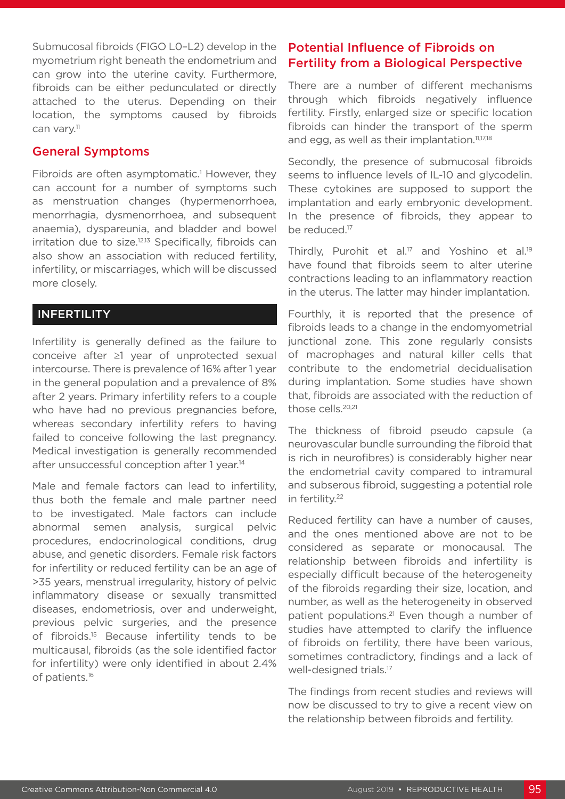Submucosal fibroids (FIGO L0–L2) develop in the myometrium right beneath the endometrium and can grow into the uterine cavity. Furthermore, fibroids can be either pedunculated or directly attached to the uterus. Depending on their location, the symptoms caused by fibroids can vary.<sup>11</sup>

## General Symptoms

Fibroids are often asymptomatic.<sup>1</sup> However, they can account for a number of symptoms such as menstruation changes (hypermenorrhoea, menorrhagia, dysmenorrhoea, and subsequent anaemia), dyspareunia, and bladder and bowel  $irritation$  due to size. $12,13$  Specifically, fibroids can also show an association with reduced fertility, infertility, or miscarriages, which will be discussed more closely.

# **INFERTILITY**

Infertility is generally defined as the failure to conceive after ≥1 year of unprotected sexual intercourse. There is prevalence of 16% after 1 year in the general population and a prevalence of 8% after 2 years. Primary infertility refers to a couple who have had no previous pregnancies before, whereas secondary infertility refers to having failed to conceive following the last pregnancy. Medical investigation is generally recommended after unsuccessful conception after 1 year.14

Male and female factors can lead to infertility, thus both the female and male partner need to be investigated. Male factors can include abnormal semen analysis, surgical pelvic procedures, endocrinological conditions, drug abuse, and genetic disorders. Female risk factors for infertility or reduced fertility can be an age of >35 years, menstrual irregularity, history of pelvic inflammatory disease or sexually transmitted diseases, endometriosis, over and underweight, previous pelvic surgeries, and the presence of fibroids.15 Because infertility tends to be multicausal, fibroids (as the sole identified factor for infertility) were only identified in about 2.4% of patients.16

# Potential Influence of Fibroids on Fertility from a Biological Perspective

There are a number of different mechanisms through which fibroids negatively influence fertility. Firstly, enlarged size or specific location fibroids can hinder the transport of the sperm and egg, as well as their implantation.<sup>11,17,18</sup>

Secondly, the presence of submucosal fibroids seems to influence levels of IL-10 and glycodelin. These cytokines are supposed to support the implantation and early embryonic development. In the presence of fibroids, they appear to be reduced.<sup>17</sup>

Thirdly, Purohit et al.<sup>17</sup> and Yoshino et al.<sup>19</sup> have found that fibroids seem to alter uterine contractions leading to an inflammatory reaction in the uterus. The latter may hinder implantation.

Fourthly, it is reported that the presence of fibroids leads to a change in the endomyometrial junctional zone. This zone regularly consists of macrophages and natural killer cells that contribute to the endometrial decidualisation during implantation. Some studies have shown that, fibroids are associated with the reduction of those cells.<sup>20,21</sup>

The thickness of fibroid pseudo capsule (a neurovascular bundle surrounding the fibroid that is rich in neurofibres) is considerably higher near the endometrial cavity compared to intramural and subserous fibroid, suggesting a potential role in fertility.22

Reduced fertility can have a number of causes, and the ones mentioned above are not to be considered as separate or monocausal. The relationship between fibroids and infertility is especially difficult because of the heterogeneity of the fibroids regarding their size, location, and number, as well as the heterogeneity in observed patient populations.<sup>21</sup> Even though a number of studies have attempted to clarify the influence of fibroids on fertility, there have been various, sometimes contradictory, findings and a lack of well-designed trials.<sup>17</sup>

The findings from recent studies and reviews will now be discussed to try to give a recent view on the relationship between fibroids and fertility.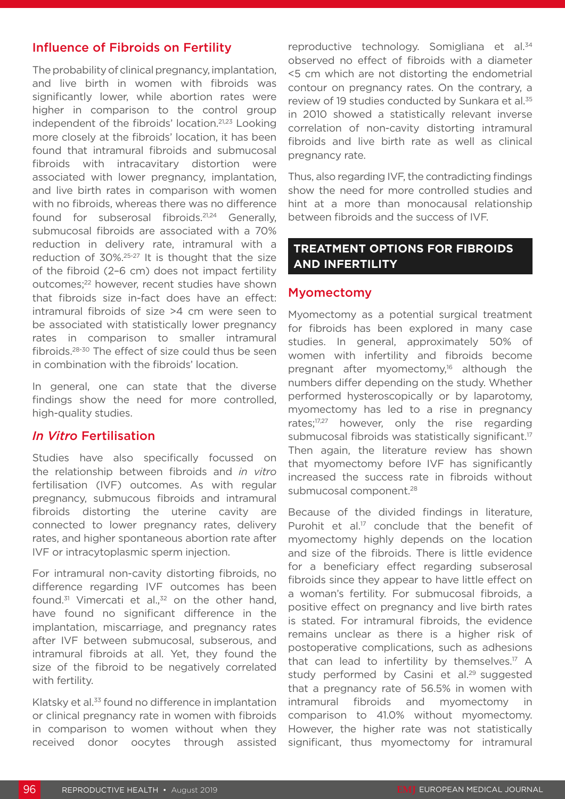# Influence of Fibroids on Fertility

The probability of clinical pregnancy, implantation, and live birth in women with fibroids was significantly lower, while abortion rates were higher in comparison to the control group independent of the fibroids' location.21,23 Looking more closely at the fibroids' location, it has been found that intramural fibroids and submucosal fibroids with intracavitary distortion were associated with lower pregnancy, implantation, and live birth rates in comparison with women with no fibroids, whereas there was no difference found for subserosal fibroids.21,24 Generally, submucosal fibroids are associated with a 70% reduction in delivery rate, intramural with a reduction of 30%.25-27 It is thought that the size of the fibroid (2–6 cm) does not impact fertility outcomes;22 however, recent studies have shown that fibroids size in-fact does have an effect: intramural fibroids of size >4 cm were seen to be associated with statistically lower pregnancy rates in comparison to smaller intramural fibroids.28-30 The effect of size could thus be seen in combination with the fibroids' location.

In general, one can state that the diverse findings show the need for more controlled, high-quality studies.

#### *In Vitro* Fertilisation

Studies have also specifically focussed on the relationship between fibroids and *in vitro*  fertilisation (IVF) outcomes. As with regular pregnancy, submucous fibroids and intramural fibroids distorting the uterine cavity are connected to lower pregnancy rates, delivery rates, and higher spontaneous abortion rate after IVF or intracytoplasmic sperm injection.

For intramural non-cavity distorting fibroids, no difference regarding IVF outcomes has been found.<sup>31</sup> Vimercati et al., $32$  on the other hand, have found no significant difference in the implantation, miscarriage, and pregnancy rates after IVF between submucosal, subserous, and intramural fibroids at all. Yet, they found the size of the fibroid to be negatively correlated with fertility.

Klatsky et al.<sup>33</sup> found no difference in implantation or clinical pregnancy rate in women with fibroids in comparison to women without when they received donor oocytes through assisted

reproductive technology. Somigliana et al.<sup>34</sup> observed no effect of fibroids with a diameter <5 cm which are not distorting the endometrial contour on pregnancy rates. On the contrary, a review of 19 studies conducted by Sunkara et al.<sup>35</sup> in 2010 showed a statistically relevant inverse correlation of non-cavity distorting intramural fibroids and live birth rate as well as clinical pregnancy rate.

Thus, also regarding IVF, the contradicting findings show the need for more controlled studies and hint at a more than monocausal relationship between fibroids and the success of IVF.

#### **TREATMENT OPTIONS FOR FIBROIDS AND INFERTILITY**

#### Myomectomy

Myomectomy as a potential surgical treatment for fibroids has been explored in many case studies. In general, approximately 50% of women with infertility and fibroids become pregnant after myomectomy,<sup>16</sup> although the numbers differ depending on the study. Whether performed hysteroscopically or by laparotomy, myomectomy has led to a rise in pregnancy rates;<sup>17,27</sup> however, only the rise regarding submucosal fibroids was statistically significant.<sup>17</sup> Then again, the literature review has shown that myomectomy before IVF has significantly increased the success rate in fibroids without submucosal component.<sup>28</sup>

Because of the divided findings in literature, Purohit et al.<sup>17</sup> conclude that the benefit of myomectomy highly depends on the location and size of the fibroids. There is little evidence for a beneficiary effect regarding subserosal fibroids since they appear to have little effect on a woman's fertility. For submucosal fibroids, a positive effect on pregnancy and live birth rates is stated. For intramural fibroids, the evidence remains unclear as there is a higher risk of postoperative complications, such as adhesions that can lead to infertility by themselves.<sup>17</sup> A study performed by Casini et al.<sup>29</sup> suggested that a pregnancy rate of 56.5% in women with intramural fibroids and myomectomy in comparison to 41.0% without myomectomy. However, the higher rate was not statistically significant, thus myomectomy for intramural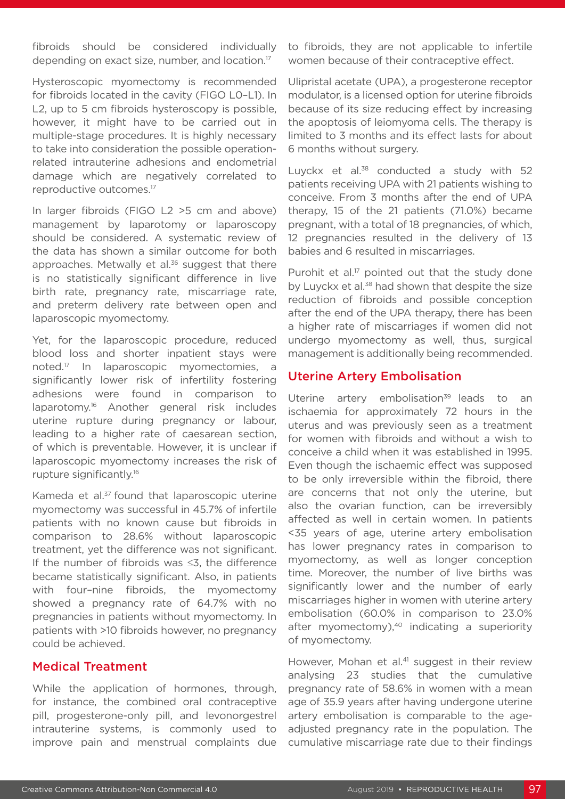fibroids should be considered individually depending on exact size, number, and location.17

Hysteroscopic myomectomy is recommended for fibroids located in the cavity (FIGO L0–L1). In L2, up to 5 cm fibroids hysteroscopy is possible, however, it might have to be carried out in multiple-stage procedures. It is highly necessary to take into consideration the possible operationrelated intrauterine adhesions and endometrial damage which are negatively correlated to reproductive outcomes.17

In larger fibroids (FIGO L2 >5 cm and above) management by laparotomy or laparoscopy should be considered. A systematic review of the data has shown a similar outcome for both approaches. Metwally et al.<sup>36</sup> suggest that there is no statistically significant difference in live birth rate, pregnancy rate, miscarriage rate, and preterm delivery rate between open and laparoscopic myomectomy.

Yet, for the laparoscopic procedure, reduced blood loss and shorter inpatient stays were noted.17 In laparoscopic myomectomies, a significantly lower risk of infertility fostering adhesions were found in comparison to laparotomy.16 Another general risk includes uterine rupture during pregnancy or labour, leading to a higher rate of caesarean section, of which is preventable. However, it is unclear if laparoscopic myomectomy increases the risk of rupture significantly.16

Kameda et al.<sup>37</sup> found that laparoscopic uterine myomectomy was successful in 45.7% of infertile patients with no known cause but fibroids in comparison to 28.6% without laparoscopic treatment, yet the difference was not significant. If the number of fibroids was ≤3, the difference became statistically significant. Also, in patients with four–nine fibroids, the myomectomy showed a pregnancy rate of 64.7% with no pregnancies in patients without myomectomy. In patients with >10 fibroids however, no pregnancy could be achieved.

#### Medical Treatment

While the application of hormones, through, for instance, the combined oral contraceptive pill, progesterone-only pill, and levonorgestrel intrauterine systems, is commonly used to improve pain and menstrual complaints due

to fibroids, they are not applicable to infertile women because of their contraceptive effect.

Ulipristal acetate (UPA), a progesterone receptor modulator, is a licensed option for uterine fibroids because of its size reducing effect by increasing the apoptosis of leiomyoma cells. The therapy is limited to 3 months and its effect lasts for about 6 months without surgery.

Luyckx et al. $38$  conducted a study with 52 patients receiving UPA with 21 patients wishing to conceive. From 3 months after the end of UPA therapy, 15 of the 21 patients (71.0%) became pregnant, with a total of 18 pregnancies, of which, 12 pregnancies resulted in the delivery of 13 babies and 6 resulted in miscarriages.

Purohit et al.<sup>17</sup> pointed out that the study done by Luyckx et al.<sup>38</sup> had shown that despite the size reduction of fibroids and possible conception after the end of the UPA therapy, there has been a higher rate of miscarriages if women did not undergo myomectomy as well, thus, surgical management is additionally being recommended.

# Uterine Artery Embolisation

Uterine artery embolisation<sup>39</sup> leads to an ischaemia for approximately 72 hours in the uterus and was previously seen as a treatment for women with fibroids and without a wish to conceive a child when it was established in 1995. Even though the ischaemic effect was supposed to be only irreversible within the fibroid, there are concerns that not only the uterine, but also the ovarian function, can be irreversibly affected as well in certain women. In patients <35 years of age, uterine artery embolisation has lower pregnancy rates in comparison to myomectomy, as well as longer conception time. Moreover, the number of live births was significantly lower and the number of early miscarriages higher in women with uterine artery embolisation (60.0% in comparison to 23.0% after myomectomy),<sup>40</sup> indicating a superiority of myomectomy.

However, Mohan et al.<sup>41</sup> suggest in their review analysing 23 studies that the cumulative pregnancy rate of 58.6% in women with a mean age of 35.9 years after having undergone uterine artery embolisation is comparable to the ageadjusted pregnancy rate in the population. The cumulative miscarriage rate due to their findings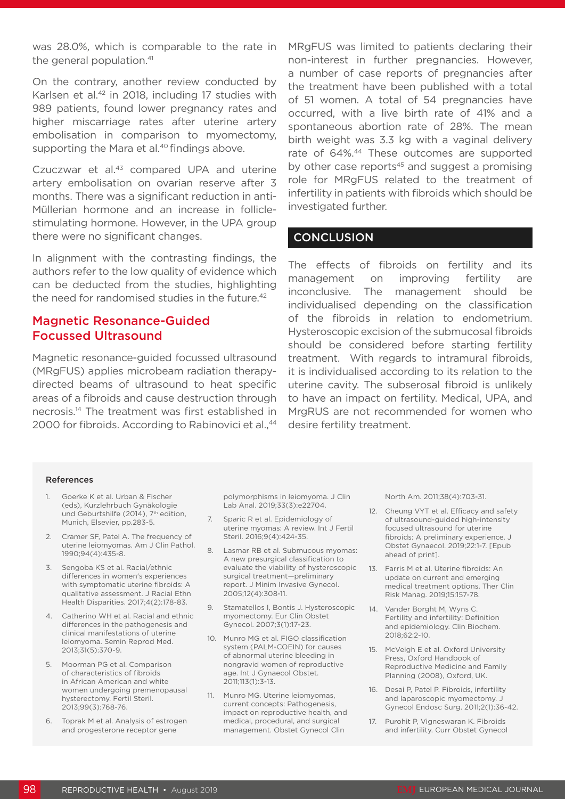was 28.0%, which is comparable to the rate in the general population.<sup>41</sup>

On the contrary, another review conducted by Karlsen et al.<sup>42</sup> in 2018, including 17 studies with 989 patients, found lower pregnancy rates and higher miscarriage rates after uterine artery embolisation in comparison to myomectomy, supporting the Mara et al.<sup>40</sup> findings above.

Czuczwar et al.<sup>43</sup> compared UPA and uterine artery embolisation on ovarian reserve after 3 months. There was a significant reduction in anti-Müllerian hormone and an increase in folliclestimulating hormone. However, in the UPA group there were no significant changes.

In alignment with the contrasting findings, the authors refer to the low quality of evidence which can be deducted from the studies, highlighting the need for randomised studies in the future.<sup>42</sup>

### Magnetic Resonance-Guided Focussed Ultrasound

Magnetic resonance-guided focussed ultrasound (MRgFUS) applies microbeam radiation therapydirected beams of ultrasound to heat specific areas of a fibroids and cause destruction through necrosis.14 The treatment was first established in 2000 for fibroids. According to Rabinovici et al.,<sup>44</sup>

MRgFUS was limited to patients declaring their non-interest in further pregnancies. However, a number of case reports of pregnancies after the treatment have been published with a total of 51 women. A total of 54 pregnancies have occurred, with a live birth rate of 41% and a spontaneous abortion rate of 28%. The mean birth weight was 3.3 kg with a vaginal delivery rate of 64%.<sup>44</sup> These outcomes are supported by other case reports $45$  and suggest a promising role for MRgFUS related to the treatment of infertility in patients with fibroids which should be investigated further.

#### **CONCLUSION**

The effects of fibroids on fertility and its management on improving fertility are inconclusive. The management should be individualised depending on the classification of the fibroids in relation to endometrium. Hysteroscopic excision of the submucosal fibroids should be considered before starting fertility treatment. With regards to intramural fibroids, it is individualised according to its relation to the uterine cavity. The subserosal fibroid is unlikely to have an impact on fertility. Medical, UPA, and MrgRUS are not recommended for women who desire fertility treatment.

#### References

- 1. Goerke K et al. Urban & Fischer (eds), Kurzlehrbuch Gynäkologie und Geburtshilfe (2014), 7<sup>th</sup> edition, Munich, Elsevier, pp.283-5.
- 2. Cramer SF, Patel A. The frequency of uterine leiomyomas. Am J Clin Pathol. 1990;94(4):435-8.
- 3. Sengoba KS et al. Racial/ethnic differences in women's experiences with symptomatic uterine fibroids: A qualitative assessment. J Racial Ethn Health Disparities. 2017;4(2):178-83.
- 4. Catherino WH et al. Racial and ethnic differences in the pathogenesis and clinical manifestations of uterine leiomyoma. Semin Reprod Med. 2013;31(5):370-9.
- 5. Moorman PG et al. Comparison of characteristics of fibroids in African American and white women undergoing premenopausal hysterectomy. Fertil Steril. 2013;99(3):768-76.
- 6. Toprak M et al. Analysis of estrogen and progesterone receptor gene

polymorphisms in leiomyoma. J Clin Lab Anal. 2019;33(3):e22704.

- 7. Sparic R et al. Epidemiology of uterine myomas: A review. Int J Fertil Steril. 2016;9(4):424-35.
- 8. Lasmar RB et al. Submucous myomas: A new presurgical classification to evaluate the viability of hysteroscopic surgical treatment—preliminary report. J Minim Invasive Gynecol. 2005;12(4):308-11.
- 9. Stamatellos I, Bontis J. Hysteroscopic myomectomy. Eur Clin Obstet Gynecol. 2007;3(1):17-23.
- 10. Munro MG et al. FIGO classification system (PALM-COEIN) for causes of abnormal uterine bleeding in nongravid women of reproductive age. Int J Gynaecol Obstet. 2011;113(1):3-13.
- 11. Munro MG. Uterine leiomyomas, current concepts: Pathogenesis, impact on reproductive health, and medical, procedural, and surgical management. Obstet Gynecol Clin

North Am. 2011;38(4):703-31.

- 12. Cheung VYT et al. Efficacy and safety of ultrasound-guided high-intensity focused ultrasound for uterine fibroids: A preliminary experience. J Obstet Gynaecol. 2019;22:1-7. [Epub ahead of print].
- 13. Farris M et al. Uterine fibroids: An update on current and emerging medical treatment options. Ther Clin Risk Manag. 2019;15:157-78.
- 14. Vander Borght M, Wyns C. Fertility and infertility: Definition and epidemiology. Clin Biochem. 2018;62:2-10.
- 15. McVeigh E et al. Oxford University Press, Oxford Handbook of Reproductive Medicine and Family Planning (2008), Oxford, UK.
- 16. Desai P, Patel P. Fibroids, infertility and laparoscopic myomectomy. J Gynecol Endosc Surg. 2011;2(1):36-42.
- 17. Purohit P, Vigneswaran K. Fibroids and infertility. Curr Obstet Gynecol